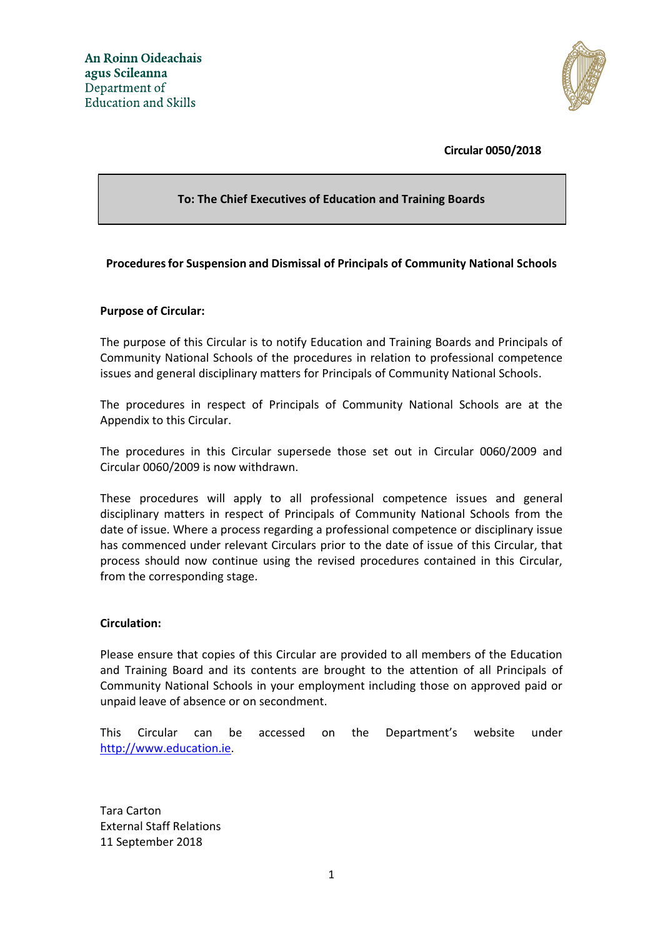

**Circular 0050/2018**

### **To: The Chief Executives of Education and Training Boards**

#### **Proceduresfor Suspension and Dismissal of Principals of Community National Schools**

#### **Purpose of Circular:**

The purpose of this Circular is to notify Education and Training Boards and Principals of Community National Schools of the procedures in relation to professional competence issues and general disciplinary matters for Principals of Community National Schools.

The procedures in respect of Principals of Community National Schools are at the Appendix to this Circular.

The procedures in this Circular supersede those set out in Circular 0060/2009 and Circular 0060/2009 is now withdrawn.

These procedures will apply to all professional competence issues and general disciplinary matters in respect of Principals of Community National Schools from the date of issue. Where a process regarding a professional competence or disciplinary issue has commenced under relevant Circulars prior to the date of issue of this Circular, that process should now continue using the revised procedures contained in this Circular, from the corresponding stage.

#### **Circulation:**

Please ensure that copies of this Circular are provided to all members of the Education and Training Board and its contents are brought to the attention of all Principals of Community National Schools in your employment including those on approved paid or unpaid leave of absence or on secondment.

This Circular can be accessed on the Department's website under [http://www.education.ie.](http://www.education.ie/)

Tara Carton External Staff Relations 11 September 2018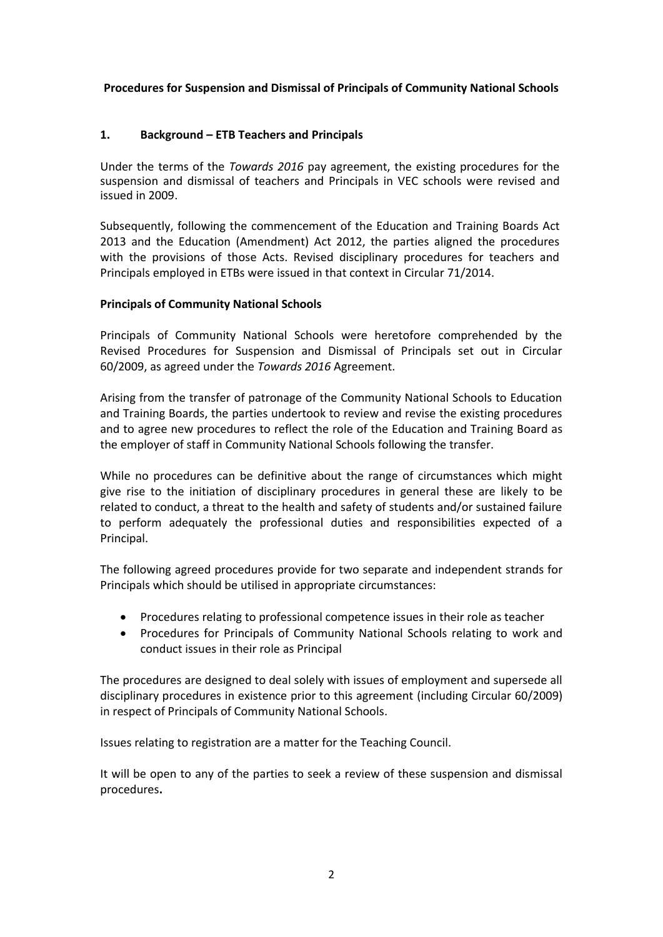### **Procedures for Suspension and Dismissal of Principals of Community National Schools**

## **1. Background – ETB Teachers and Principals**

Under the terms of the *Towards 2016* pay agreement, the existing procedures for the suspension and dismissal of teachers and Principals in VEC schools were revised and issued in 2009.

Subsequently, following the commencement of the Education and Training Boards Act 2013 and the Education (Amendment) Act 2012, the parties aligned the procedures with the provisions of those Acts. Revised disciplinary procedures for teachers and Principals employed in ETBs were issued in that context in Circular 71/2014.

### **Principals of Community National Schools**

Principals of Community National Schools were heretofore comprehended by the Revised Procedures for Suspension and Dismissal of Principals set out in Circular 60/2009, as agreed under the *Towards 2016* Agreement.

Arising from the transfer of patronage of the Community National Schools to Education and Training Boards, the parties undertook to review and revise the existing procedures and to agree new procedures to reflect the role of the Education and Training Board as the employer of staff in Community National Schools following the transfer.

While no procedures can be definitive about the range of circumstances which might give rise to the initiation of disciplinary procedures in general these are likely to be related to conduct, a threat to the health and safety of students and/or sustained failure to perform adequately the professional duties and responsibilities expected of a Principal.

The following agreed procedures provide for two separate and independent strands for Principals which should be utilised in appropriate circumstances:

- Procedures relating to professional competence issues in their role as teacher
- Procedures for Principals of Community National Schools relating to work and conduct issues in their role as Principal

The procedures are designed to deal solely with issues of employment and supersede all disciplinary procedures in existence prior to this agreement (including Circular 60/2009) in respect of Principals of Community National Schools.

Issues relating to registration are a matter for the Teaching Council.

It will be open to any of the parties to seek a review of these suspension and dismissal procedures**.**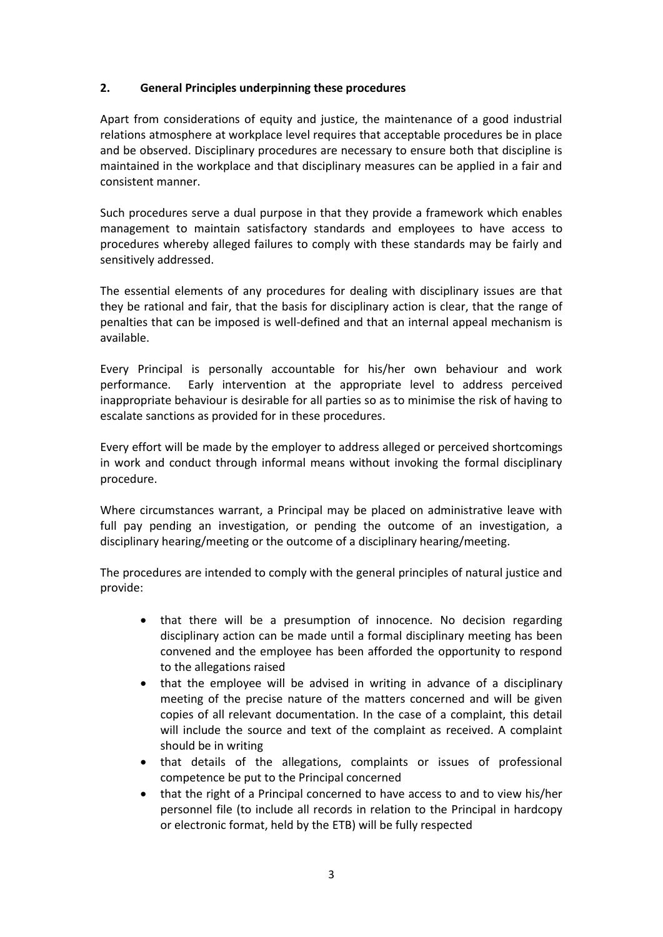## **2. General Principles underpinning these procedures**

Apart from considerations of equity and justice, the maintenance of a good industrial relations atmosphere at workplace level requires that acceptable procedures be in place and be observed. Disciplinary procedures are necessary to ensure both that discipline is maintained in the workplace and that disciplinary measures can be applied in a fair and consistent manner.

Such procedures serve a dual purpose in that they provide a framework which enables management to maintain satisfactory standards and employees to have access to procedures whereby alleged failures to comply with these standards may be fairly and sensitively addressed.

The essential elements of any procedures for dealing with disciplinary issues are that they be rational and fair, that the basis for disciplinary action is clear, that the range of penalties that can be imposed is well-defined and that an internal appeal mechanism is available.

Every Principal is personally accountable for his/her own behaviour and work performance. Early intervention at the appropriate level to address perceived inappropriate behaviour is desirable for all parties so as to minimise the risk of having to escalate sanctions as provided for in these procedures.

Every effort will be made by the employer to address alleged or perceived shortcomings in work and conduct through informal means without invoking the formal disciplinary procedure.

Where circumstances warrant, a Principal may be placed on administrative leave with full pay pending an investigation, or pending the outcome of an investigation, a disciplinary hearing/meeting or the outcome of a disciplinary hearing/meeting.

The procedures are intended to comply with the general principles of natural justice and provide:

- that there will be a presumption of innocence. No decision regarding disciplinary action can be made until a formal disciplinary meeting has been convened and the employee has been afforded the opportunity to respond to the allegations raised
- that the employee will be advised in writing in advance of a disciplinary meeting of the precise nature of the matters concerned and will be given copies of all relevant documentation. In the case of a complaint, this detail will include the source and text of the complaint as received. A complaint should be in writing
- that details of the allegations, complaints or issues of professional competence be put to the Principal concerned
- that the right of a Principal concerned to have access to and to view his/her personnel file (to include all records in relation to the Principal in hardcopy or electronic format, held by the ETB) will be fully respected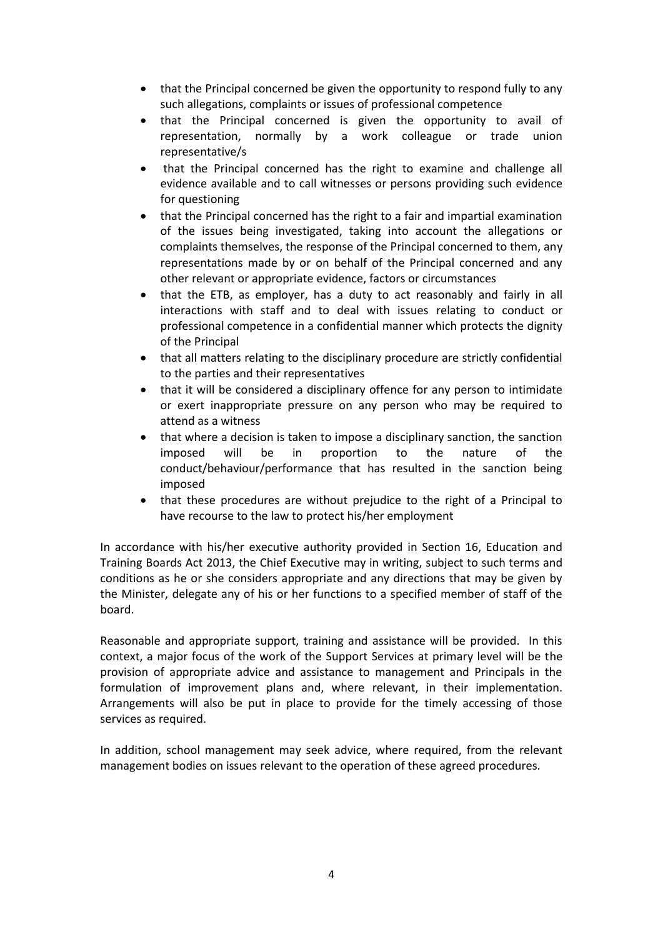- that the Principal concerned be given the opportunity to respond fully to any such allegations, complaints or issues of professional competence
- that the Principal concerned is given the opportunity to avail of representation, normally by a work colleague or trade union representative/s
- that the Principal concerned has the right to examine and challenge all evidence available and to call witnesses or persons providing such evidence for questioning
- that the Principal concerned has the right to a fair and impartial examination of the issues being investigated, taking into account the allegations or complaints themselves, the response of the Principal concerned to them, any representations made by or on behalf of the Principal concerned and any other relevant or appropriate evidence, factors or circumstances
- that the ETB, as employer, has a duty to act reasonably and fairly in all interactions with staff and to deal with issues relating to conduct or professional competence in a confidential manner which protects the dignity of the Principal
- that all matters relating to the disciplinary procedure are strictly confidential to the parties and their representatives
- that it will be considered a disciplinary offence for any person to intimidate or exert inappropriate pressure on any person who may be required to attend as a witness
- that where a decision is taken to impose a disciplinary sanction, the sanction imposed will be in proportion to the nature of the conduct/behaviour/performance that has resulted in the sanction being imposed
- that these procedures are without prejudice to the right of a Principal to have recourse to the law to protect his/her employment

In accordance with his/her executive authority provided in Section 16, Education and Training Boards Act 2013, the Chief Executive may in writing, subject to such terms and conditions as he or she considers appropriate and any directions that may be given by the Minister, delegate any of his or her functions to a specified member of staff of the board.

Reasonable and appropriate support, training and assistance will be provided. In this context, a major focus of the work of the Support Services at primary level will be the provision of appropriate advice and assistance to management and Principals in the formulation of improvement plans and, where relevant, in their implementation. Arrangements will also be put in place to provide for the timely accessing of those services as required.

In addition, school management may seek advice, where required, from the relevant management bodies on issues relevant to the operation of these agreed procedures*.*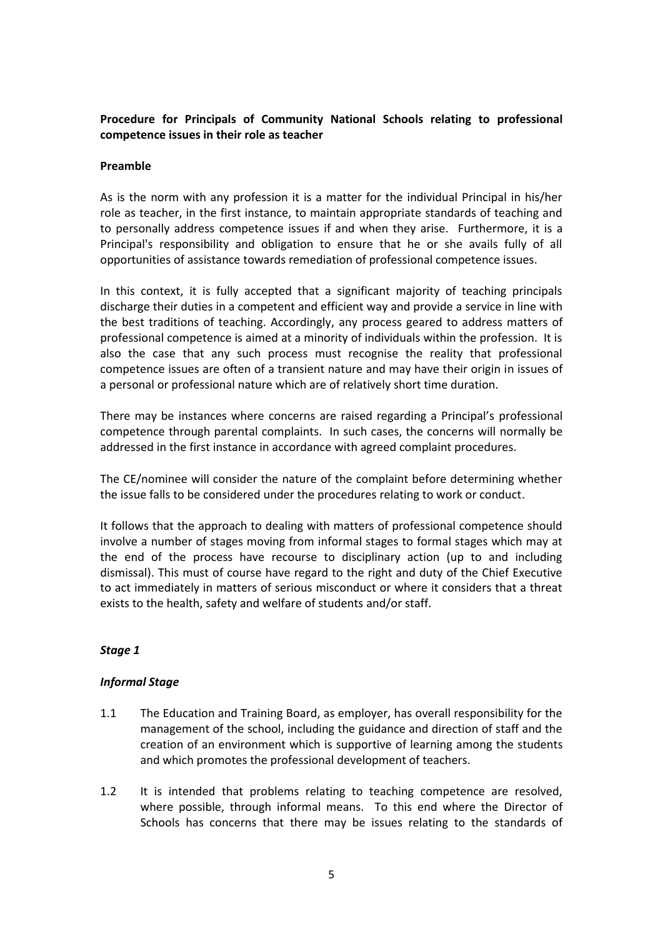# **Procedure for Principals of Community National Schools relating to professional competence issues in their role as teacher**

#### **Preamble**

As is the norm with any profession it is a matter for the individual Principal in his/her role as teacher, in the first instance, to maintain appropriate standards of teaching and to personally address competence issues if and when they arise. Furthermore, it is a Principal's responsibility and obligation to ensure that he or she avails fully of all opportunities of assistance towards remediation of professional competence issues.

In this context, it is fully accepted that a significant majority of teaching principals discharge their duties in a competent and efficient way and provide a service in line with the best traditions of teaching. Accordingly, any process geared to address matters of professional competence is aimed at a minority of individuals within the profession. It is also the case that any such process must recognise the reality that professional competence issues are often of a transient nature and may have their origin in issues of a personal or professional nature which are of relatively short time duration.

There may be instances where concerns are raised regarding a Principal's professional competence through parental complaints. In such cases, the concerns will normally be addressed in the first instance in accordance with agreed complaint procedures.

The CE/nominee will consider the nature of the complaint before determining whether the issue falls to be considered under the procedures relating to work or conduct.

It follows that the approach to dealing with matters of professional competence should involve a number of stages moving from informal stages to formal stages which may at the end of the process have recourse to disciplinary action (up to and including dismissal). This must of course have regard to the right and duty of the Chief Executive to act immediately in matters of serious misconduct or where it considers that a threat exists to the health, safety and welfare of students and/or staff.

### *Stage 1*

### *Informal Stage*

- 1.1 The Education and Training Board, as employer, has overall responsibility for the management of the school, including the guidance and direction of staff and the creation of an environment which is supportive of learning among the students and which promotes the professional development of teachers.
- 1.2 It is intended that problems relating to teaching competence are resolved, where possible, through informal means. To this end where the Director of Schools has concerns that there may be issues relating to the standards of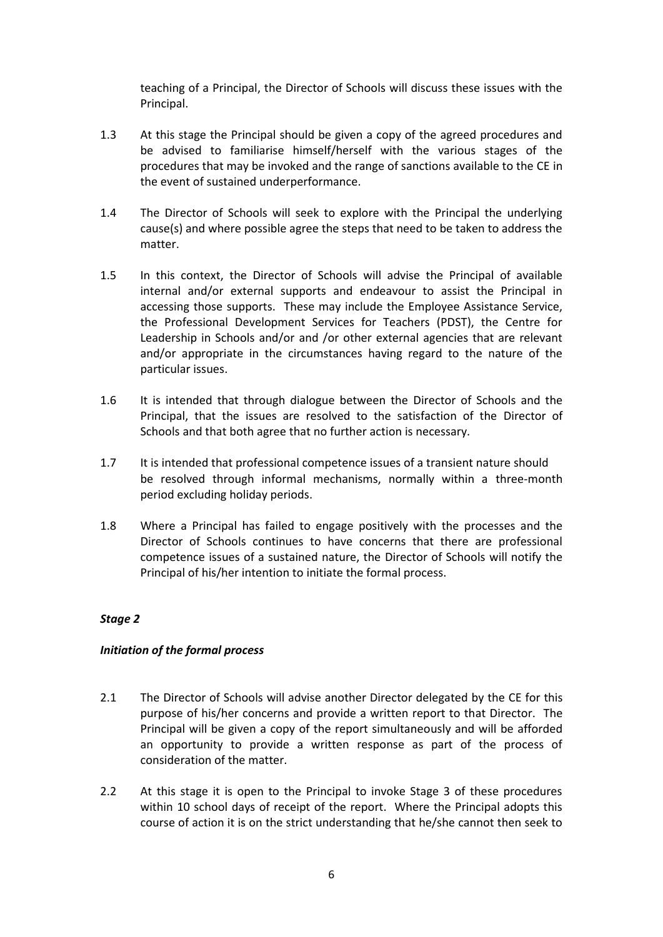teaching of a Principal, the Director of Schools will discuss these issues with the Principal.

- 1.3 At this stage the Principal should be given a copy of the agreed procedures and be advised to familiarise himself/herself with the various stages of the procedures that may be invoked and the range of sanctions available to the CE in the event of sustained underperformance.
- 1.4 The Director of Schools will seek to explore with the Principal the underlying cause(s) and where possible agree the steps that need to be taken to address the matter.
- 1.5 In this context, the Director of Schools will advise the Principal of available internal and/or external supports and endeavour to assist the Principal in accessing those supports. These may include the Employee Assistance Service, the Professional Development Services for Teachers (PDST), the Centre for Leadership in Schools and/or and /or other external agencies that are relevant and/or appropriate in the circumstances having regard to the nature of the particular issues.
- 1.6 It is intended that through dialogue between the Director of Schools and the Principal, that the issues are resolved to the satisfaction of the Director of Schools and that both agree that no further action is necessary.
- 1.7 It is intended that professional competence issues of a transient nature should be resolved through informal mechanisms, normally within a three-month period excluding holiday periods.
- 1.8 Where a Principal has failed to engage positively with the processes and the Director of Schools continues to have concerns that there are professional competence issues of a sustained nature, the Director of Schools will notify the Principal of his/her intention to initiate the formal process.

### *Stage 2*

### *Initiation of the formal process*

- 2.1 The Director of Schools will advise another Director delegated by the CE for this purpose of his/her concerns and provide a written report to that Director. The Principal will be given a copy of the report simultaneously and will be afforded an opportunity to provide a written response as part of the process of consideration of the matter.
- 2.2 At this stage it is open to the Principal to invoke Stage 3 of these procedures within 10 school days of receipt of the report. Where the Principal adopts this course of action it is on the strict understanding that he/she cannot then seek to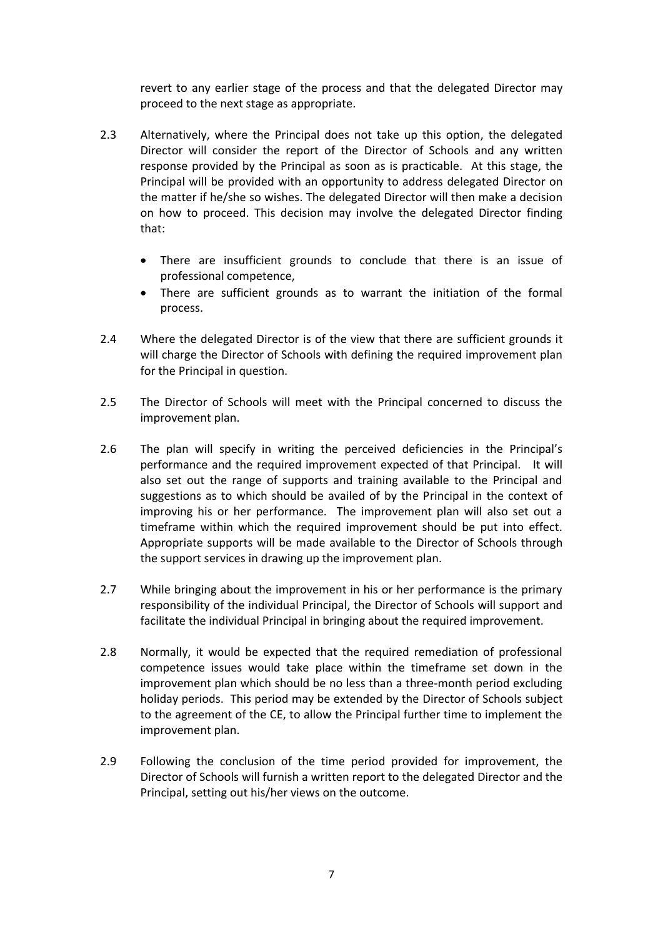revert to any earlier stage of the process and that the delegated Director may proceed to the next stage as appropriate.

- 2.3 Alternatively, where the Principal does not take up this option, the delegated Director will consider the report of the Director of Schools and any written response provided by the Principal as soon as is practicable. At this stage, the Principal will be provided with an opportunity to address delegated Director on the matter if he/she so wishes. The delegated Director will then make a decision on how to proceed. This decision may involve the delegated Director finding that:
	- There are insufficient grounds to conclude that there is an issue of professional competence,
	- There are sufficient grounds as to warrant the initiation of the formal process.
- 2.4 Where the delegated Director is of the view that there are sufficient grounds it will charge the Director of Schools with defining the required improvement plan for the Principal in question.
- 2.5 The Director of Schools will meet with the Principal concerned to discuss the improvement plan.
- 2.6 The plan will specify in writing the perceived deficiencies in the Principal's performance and the required improvement expected of that Principal. It will also set out the range of supports and training available to the Principal and suggestions as to which should be availed of by the Principal in the context of improving his or her performance. The improvement plan will also set out a timeframe within which the required improvement should be put into effect. Appropriate supports will be made available to the Director of Schools through the support services in drawing up the improvement plan.
- 2.7 While bringing about the improvement in his or her performance is the primary responsibility of the individual Principal, the Director of Schools will support and facilitate the individual Principal in bringing about the required improvement.
- 2.8 Normally, it would be expected that the required remediation of professional competence issues would take place within the timeframe set down in the improvement plan which should be no less than a three-month period excluding holiday periods. This period may be extended by the Director of Schools subject to the agreement of the CE, to allow the Principal further time to implement the improvement plan.
- 2.9 Following the conclusion of the time period provided for improvement, the Director of Schools will furnish a written report to the delegated Director and the Principal, setting out his/her views on the outcome.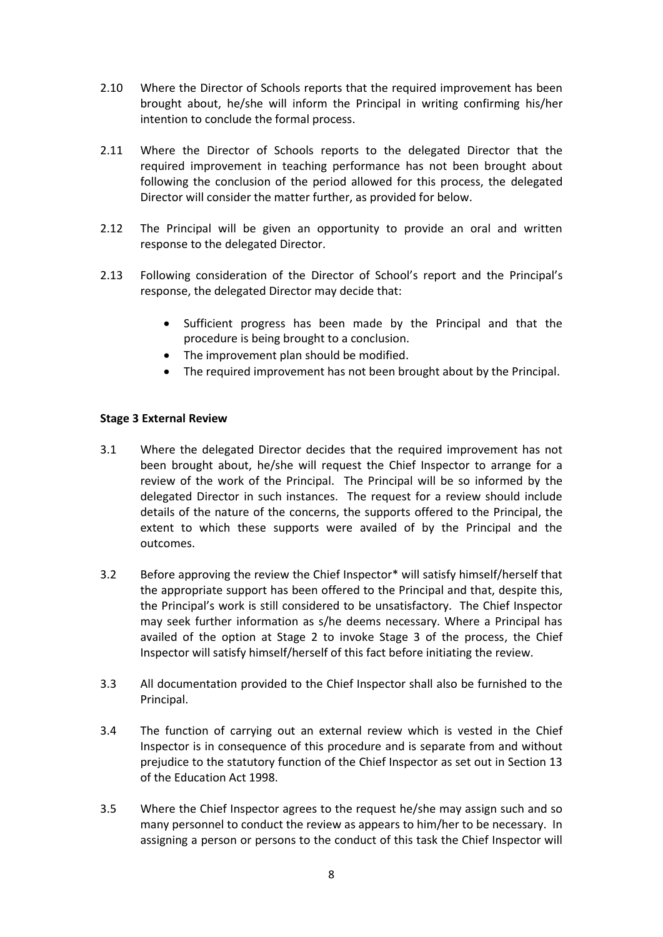- 2.10 Where the Director of Schools reports that the required improvement has been brought about, he/she will inform the Principal in writing confirming his/her intention to conclude the formal process.
- 2.11 Where the Director of Schools reports to the delegated Director that the required improvement in teaching performance has not been brought about following the conclusion of the period allowed for this process, the delegated Director will consider the matter further, as provided for below.
- 2.12 The Principal will be given an opportunity to provide an oral and written response to the delegated Director.
- 2.13 Following consideration of the Director of School's report and the Principal's response, the delegated Director may decide that:
	- Sufficient progress has been made by the Principal and that the procedure is being brought to a conclusion.
	- The improvement plan should be modified.
	- The required improvement has not been brought about by the Principal.

### **Stage 3 External Review**

- 3.1 Where the delegated Director decides that the required improvement has not been brought about, he/she will request the Chief Inspector to arrange for a review of the work of the Principal. The Principal will be so informed by the delegated Director in such instances. The request for a review should include details of the nature of the concerns, the supports offered to the Principal, the extent to which these supports were availed of by the Principal and the outcomes.
- 3.2 Before approving the review the Chief Inspector\* will satisfy himself/herself that the appropriate support has been offered to the Principal and that, despite this, the Principal's work is still considered to be unsatisfactory. The Chief Inspector may seek further information as s/he deems necessary. Where a Principal has availed of the option at Stage 2 to invoke Stage 3 of the process, the Chief Inspector will satisfy himself/herself of this fact before initiating the review.
- 3.3 All documentation provided to the Chief Inspector shall also be furnished to the Principal.
- 3.4 The function of carrying out an external review which is vested in the Chief Inspector is in consequence of this procedure and is separate from and without prejudice to the statutory function of the Chief Inspector as set out in Section 13 of the Education Act 1998.
- 3.5 Where the Chief Inspector agrees to the request he/she may assign such and so many personnel to conduct the review as appears to him/her to be necessary. In assigning a person or persons to the conduct of this task the Chief Inspector will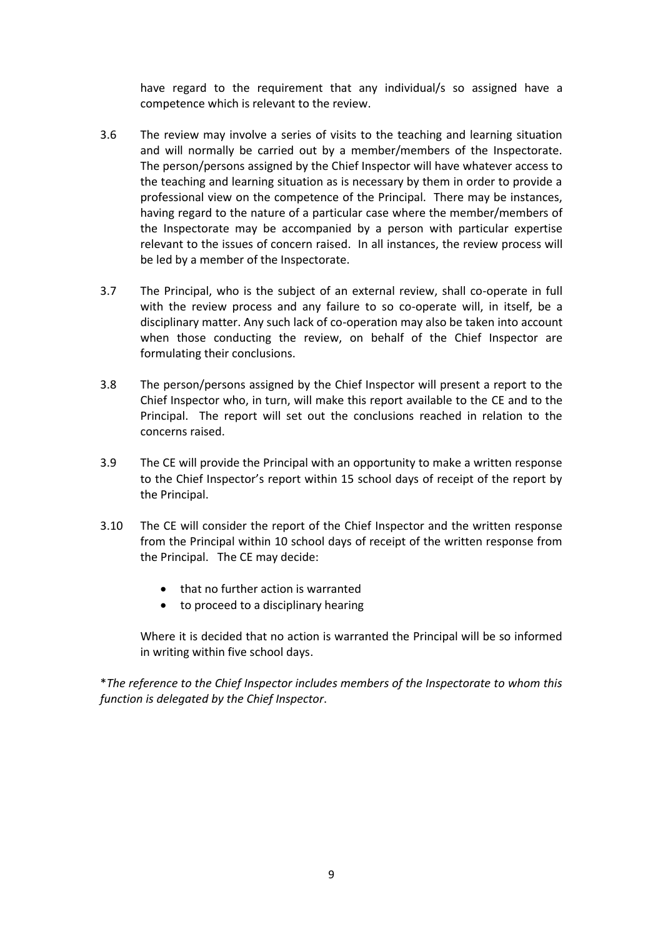have regard to the requirement that any individual/s so assigned have a competence which is relevant to the review.

- 3.6 The review may involve a series of visits to the teaching and learning situation and will normally be carried out by a member/members of the Inspectorate. The person/persons assigned by the Chief Inspector will have whatever access to the teaching and learning situation as is necessary by them in order to provide a professional view on the competence of the Principal. There may be instances, having regard to the nature of a particular case where the member/members of the Inspectorate may be accompanied by a person with particular expertise relevant to the issues of concern raised. In all instances, the review process will be led by a member of the Inspectorate.
- 3.7 The Principal, who is the subject of an external review, shall co-operate in full with the review process and any failure to so co-operate will, in itself, be a disciplinary matter. Any such lack of co-operation may also be taken into account when those conducting the review, on behalf of the Chief Inspector are formulating their conclusions.
- 3.8 The person/persons assigned by the Chief Inspector will present a report to the Chief Inspector who, in turn, will make this report available to the CE and to the Principal. The report will set out the conclusions reached in relation to the concerns raised.
- 3.9 The CE will provide the Principal with an opportunity to make a written response to the Chief Inspector's report within 15 school days of receipt of the report by the Principal.
- 3.10 The CE will consider the report of the Chief Inspector and the written response from the Principal within 10 school days of receipt of the written response from the Principal. The CE may decide:
	- that no further action is warranted
	- to proceed to a disciplinary hearing

Where it is decided that no action is warranted the Principal will be so informed in writing within five school days.

\**The reference to the Chief Inspector includes members of the Inspectorate to whom this function is delegated by the Chief Inspector*.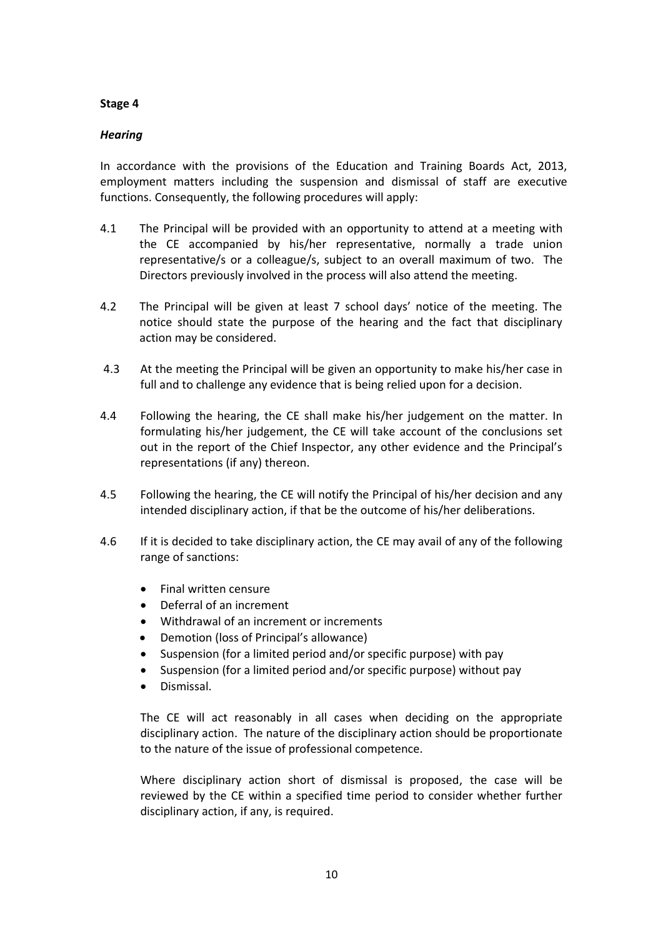#### **Stage 4**

### *Hearing*

In accordance with the provisions of the Education and Training Boards Act, 2013, employment matters including the suspension and dismissal of staff are executive functions. Consequently, the following procedures will apply:

- 4.1 The Principal will be provided with an opportunity to attend at a meeting with the CE accompanied by his/her representative, normally a trade union representative/s or a colleague/s, subject to an overall maximum of two. The Directors previously involved in the process will also attend the meeting.
- 4.2 The Principal will be given at least 7 school days' notice of the meeting. The notice should state the purpose of the hearing and the fact that disciplinary action may be considered.
- 4.3 At the meeting the Principal will be given an opportunity to make his/her case in full and to challenge any evidence that is being relied upon for a decision.
- 4.4 Following the hearing, the CE shall make his/her judgement on the matter. In formulating his/her judgement, the CE will take account of the conclusions set out in the report of the Chief Inspector, any other evidence and the Principal's representations (if any) thereon.
- 4.5 Following the hearing, the CE will notify the Principal of his/her decision and any intended disciplinary action, if that be the outcome of his/her deliberations.
- 4.6 If it is decided to take disciplinary action, the CE may avail of any of the following range of sanctions:
	- Final written censure
	- Deferral of an increment
	- Withdrawal of an increment or increments
	- Demotion (loss of Principal's allowance)
	- Suspension (for a limited period and/or specific purpose) with pay
	- Suspension (for a limited period and/or specific purpose) without pay
	- Dismissal.

The CE will act reasonably in all cases when deciding on the appropriate disciplinary action. The nature of the disciplinary action should be proportionate to the nature of the issue of professional competence.

Where disciplinary action short of dismissal is proposed, the case will be reviewed by the CE within a specified time period to consider whether further disciplinary action, if any, is required.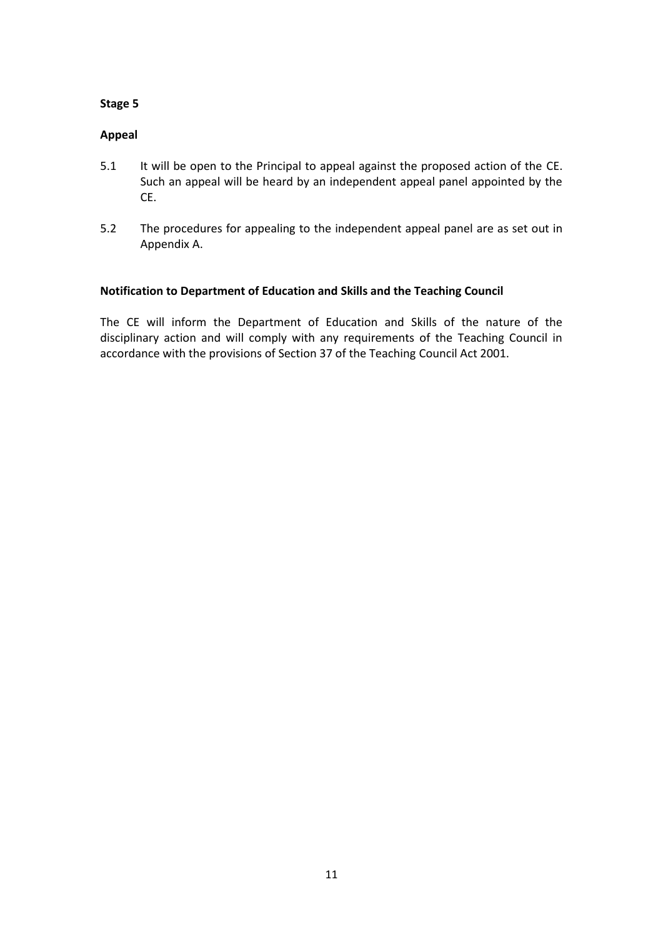#### **Stage 5**

## **Appeal**

- 5.1 It will be open to the Principal to appeal against the proposed action of the CE. Such an appeal will be heard by an independent appeal panel appointed by the CE.
- 5.2 The procedures for appealing to the independent appeal panel are as set out in Appendix A.

### **Notification to Department of Education and Skills and the Teaching Council**

The CE will inform the Department of Education and Skills of the nature of the disciplinary action and will comply with any requirements of the Teaching Council in accordance with the provisions of Section 37 of the Teaching Council Act 2001.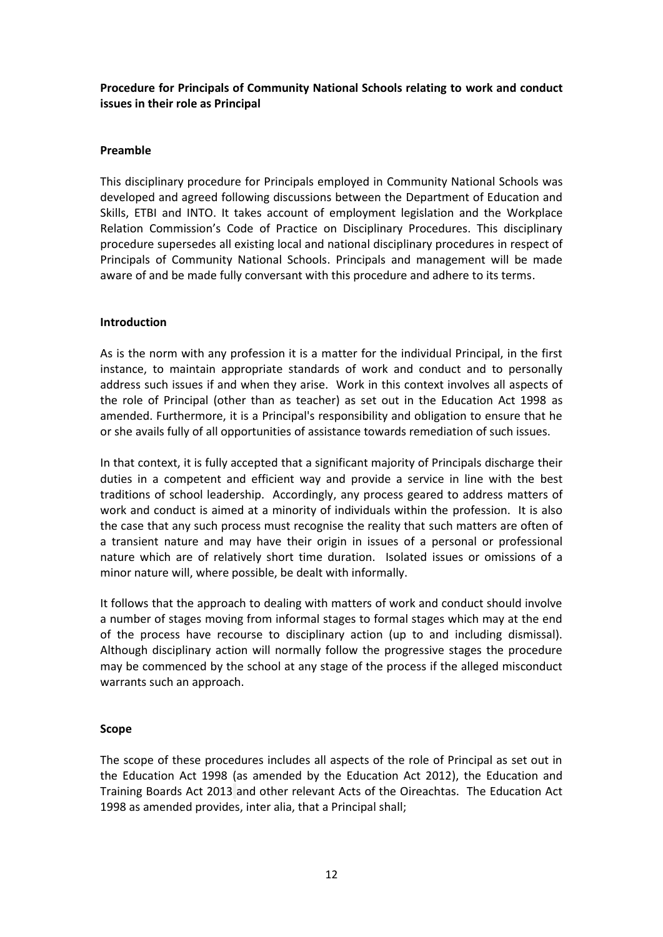## **Procedure for Principals of Community National Schools relating to work and conduct issues in their role as Principal**

### **Preamble**

This disciplinary procedure for Principals employed in Community National Schools was developed and agreed following discussions between the Department of Education and Skills, ETBI and INTO. It takes account of employment legislation and the Workplace Relation Commission's Code of Practice on Disciplinary Procedures. This disciplinary procedure supersedes all existing local and national disciplinary procedures in respect of Principals of Community National Schools. Principals and management will be made aware of and be made fully conversant with this procedure and adhere to its terms.

### **Introduction**

As is the norm with any profession it is a matter for the individual Principal, in the first instance, to maintain appropriate standards of work and conduct and to personally address such issues if and when they arise. Work in this context involves all aspects of the role of Principal (other than as teacher) as set out in the Education Act 1998 as amended. Furthermore, it is a Principal's responsibility and obligation to ensure that he or she avails fully of all opportunities of assistance towards remediation of such issues.

In that context, it is fully accepted that a significant majority of Principals discharge their duties in a competent and efficient way and provide a service in line with the best traditions of school leadership. Accordingly, any process geared to address matters of work and conduct is aimed at a minority of individuals within the profession. It is also the case that any such process must recognise the reality that such matters are often of a transient nature and may have their origin in issues of a personal or professional nature which are of relatively short time duration. Isolated issues or omissions of a minor nature will, where possible, be dealt with informally.

It follows that the approach to dealing with matters of work and conduct should involve a number of stages moving from informal stages to formal stages which may at the end of the process have recourse to disciplinary action (up to and including dismissal). Although disciplinary action will normally follow the progressive stages the procedure may be commenced by the school at any stage of the process if the alleged misconduct warrants such an approach.

### **Scope**

The scope of these procedures includes all aspects of the role of Principal as set out in the Education Act 1998 (as amended by the Education Act 2012), the Education and Training Boards Act 2013 and other relevant Acts of the Oireachtas. The Education Act 1998 as amended provides, inter alia, that a Principal shall;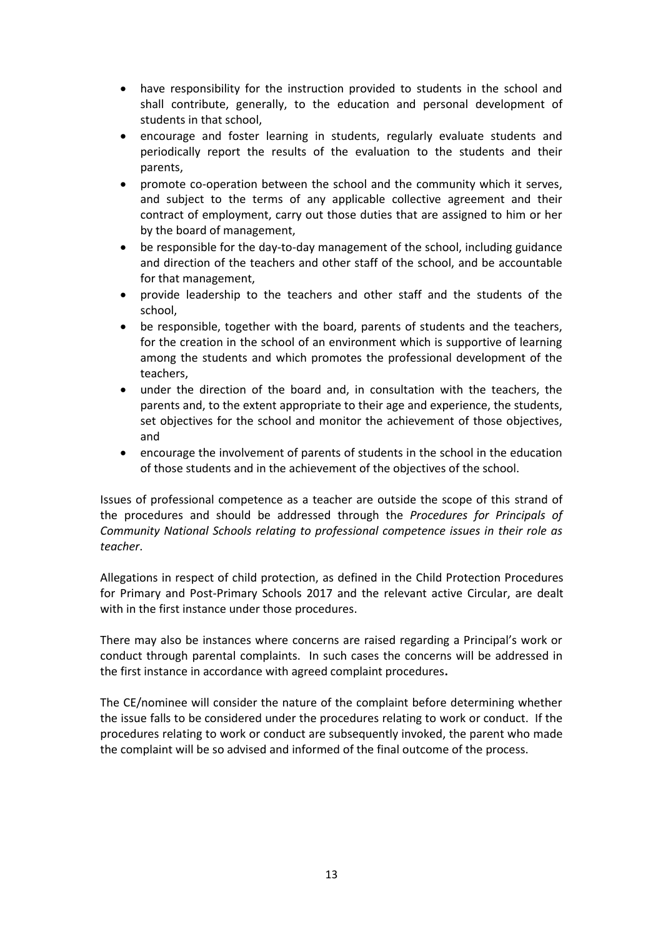- have responsibility for the instruction provided to students in the school and shall contribute, generally, to the education and personal development of students in that school,
- encourage and foster learning in students, regularly evaluate students and periodically report the results of the evaluation to the students and their parents,
- promote co-operation between the school and the community which it serves, and subject to the terms of any applicable collective agreement and their contract of employment, carry out those duties that are assigned to him or her by the board of management,
- be responsible for the day-to-day management of the school, including guidance and direction of the teachers and other staff of the school, and be accountable for that management,
- provide leadership to the teachers and other staff and the students of the school,
- be responsible, together with the board, parents of students and the teachers, for the creation in the school of an environment which is supportive of learning among the students and which promotes the professional development of the teachers,
- under the direction of the board and, in consultation with the teachers, the parents and, to the extent appropriate to their age and experience, the students, set objectives for the school and monitor the achievement of those objectives, and
- encourage the involvement of parents of students in the school in the education of those students and in the achievement of the objectives of the school.

Issues of professional competence as a teacher are outside the scope of this strand of the procedures and should be addressed through the *Procedures for Principals of Community National Schools relating to professional competence issues in their role as teacher*.

Allegations in respect of child protection, as defined in the Child Protection Procedures for Primary and Post-Primary Schools 2017 and the relevant active Circular, are dealt with in the first instance under those procedures.

There may also be instances where concerns are raised regarding a Principal's work or conduct through parental complaints. In such cases the concerns will be addressed in the first instance in accordance with agreed complaint procedures**.**

The CE/nominee will consider the nature of the complaint before determining whether the issue falls to be considered under the procedures relating to work or conduct. If the procedures relating to work or conduct are subsequently invoked, the parent who made the complaint will be so advised and informed of the final outcome of the process.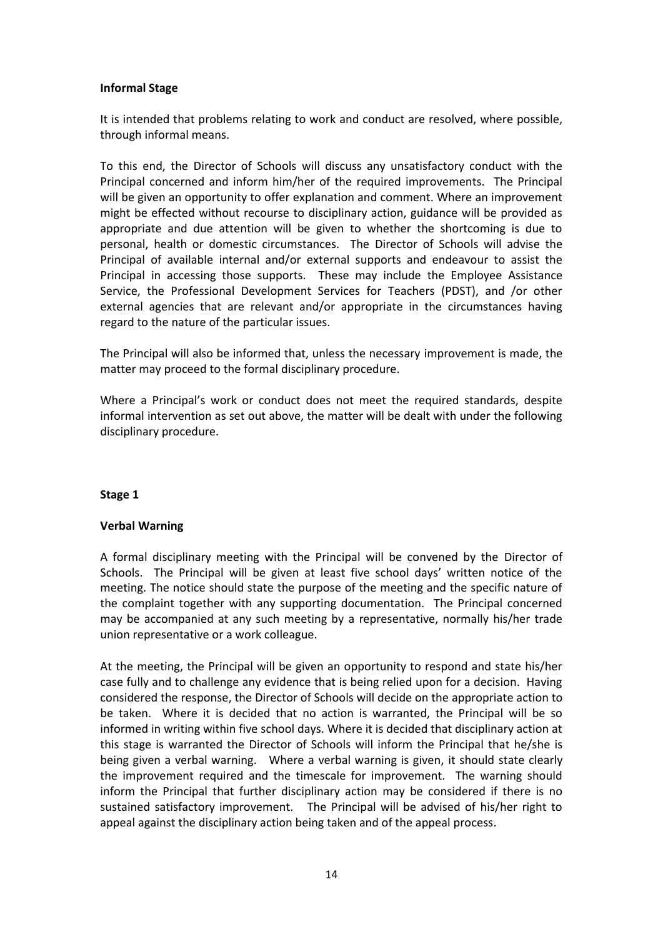#### **Informal Stage**

It is intended that problems relating to work and conduct are resolved, where possible, through informal means.

To this end, the Director of Schools will discuss any unsatisfactory conduct with the Principal concerned and inform him/her of the required improvements. The Principal will be given an opportunity to offer explanation and comment. Where an improvement might be effected without recourse to disciplinary action, guidance will be provided as appropriate and due attention will be given to whether the shortcoming is due to personal, health or domestic circumstances. The Director of Schools will advise the Principal of available internal and/or external supports and endeavour to assist the Principal in accessing those supports. These may include the Employee Assistance Service, the Professional Development Services for Teachers (PDST), and /or other external agencies that are relevant and/or appropriate in the circumstances having regard to the nature of the particular issues.

The Principal will also be informed that, unless the necessary improvement is made, the matter may proceed to the formal disciplinary procedure.

Where a Principal's work or conduct does not meet the required standards, despite informal intervention as set out above, the matter will be dealt with under the following disciplinary procedure.

#### **Stage 1**

### **Verbal Warning**

A formal disciplinary meeting with the Principal will be convened by the Director of Schools. The Principal will be given at least five school days' written notice of the meeting. The notice should state the purpose of the meeting and the specific nature of the complaint together with any supporting documentation. The Principal concerned may be accompanied at any such meeting by a representative, normally his/her trade union representative or a work colleague.

At the meeting, the Principal will be given an opportunity to respond and state his/her case fully and to challenge any evidence that is being relied upon for a decision. Having considered the response, the Director of Schools will decide on the appropriate action to be taken. Where it is decided that no action is warranted, the Principal will be so informed in writing within five school days. Where it is decided that disciplinary action at this stage is warranted the Director of Schools will inform the Principal that he/she is being given a verbal warning. Where a verbal warning is given, it should state clearly the improvement required and the timescale for improvement. The warning should inform the Principal that further disciplinary action may be considered if there is no sustained satisfactory improvement. The Principal will be advised of his/her right to appeal against the disciplinary action being taken and of the appeal process.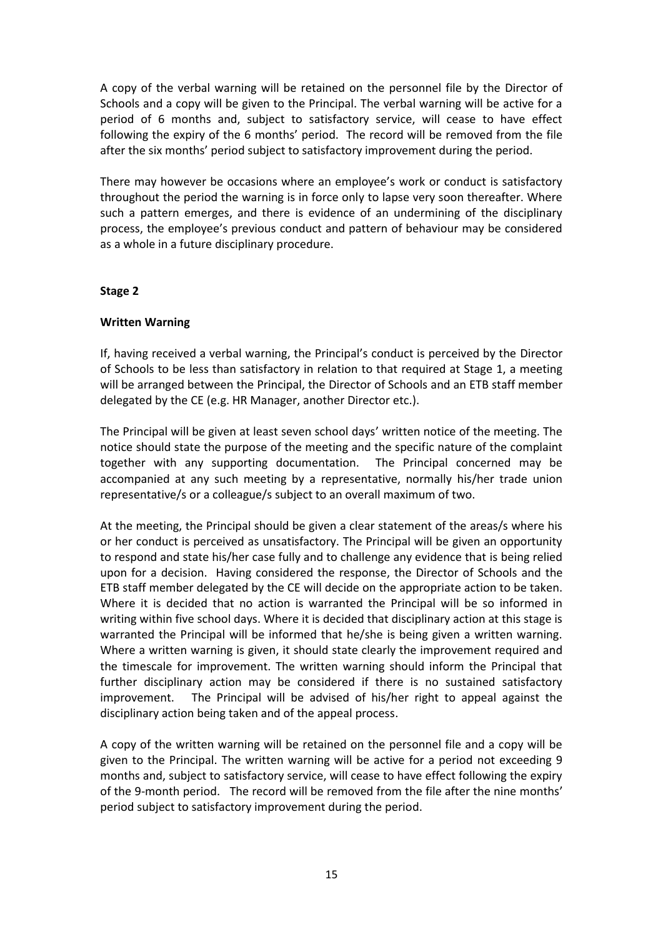A copy of the verbal warning will be retained on the personnel file by the Director of Schools and a copy will be given to the Principal. The verbal warning will be active for a period of 6 months and, subject to satisfactory service, will cease to have effect following the expiry of the 6 months' period. The record will be removed from the file after the six months' period subject to satisfactory improvement during the period.

There may however be occasions where an employee's work or conduct is satisfactory throughout the period the warning is in force only to lapse very soon thereafter. Where such a pattern emerges, and there is evidence of an undermining of the disciplinary process, the employee's previous conduct and pattern of behaviour may be considered as a whole in a future disciplinary procedure.

### **Stage 2**

### **Written Warning**

If, having received a verbal warning, the Principal's conduct is perceived by the Director of Schools to be less than satisfactory in relation to that required at Stage 1, a meeting will be arranged between the Principal, the Director of Schools and an ETB staff member delegated by the CE (e.g. HR Manager, another Director etc.).

The Principal will be given at least seven school days' written notice of the meeting. The notice should state the purpose of the meeting and the specific nature of the complaint together with any supporting documentation. The Principal concerned may be accompanied at any such meeting by a representative, normally his/her trade union representative/s or a colleague/s subject to an overall maximum of two.

At the meeting, the Principal should be given a clear statement of the areas/s where his or her conduct is perceived as unsatisfactory. The Principal will be given an opportunity to respond and state his/her case fully and to challenge any evidence that is being relied upon for a decision. Having considered the response, the Director of Schools and the ETB staff member delegated by the CE will decide on the appropriate action to be taken. Where it is decided that no action is warranted the Principal will be so informed in writing within five school days. Where it is decided that disciplinary action at this stage is warranted the Principal will be informed that he/she is being given a written warning. Where a written warning is given, it should state clearly the improvement required and the timescale for improvement. The written warning should inform the Principal that further disciplinary action may be considered if there is no sustained satisfactory improvement. The Principal will be advised of his/her right to appeal against the disciplinary action being taken and of the appeal process.

A copy of the written warning will be retained on the personnel file and a copy will be given to the Principal. The written warning will be active for a period not exceeding 9 months and, subject to satisfactory service, will cease to have effect following the expiry of the 9-month period. The record will be removed from the file after the nine months' period subject to satisfactory improvement during the period.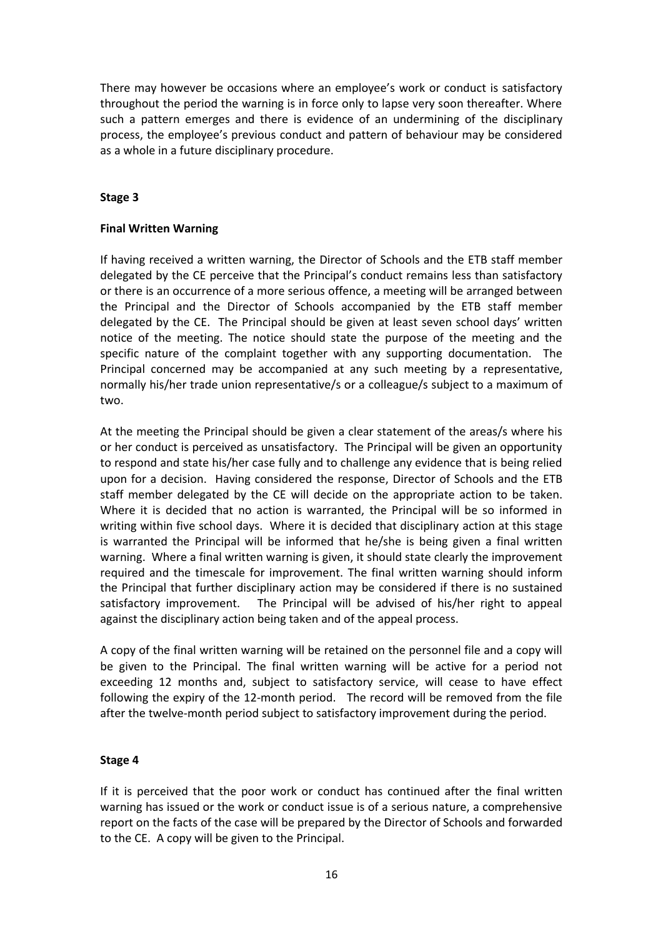There may however be occasions where an employee's work or conduct is satisfactory throughout the period the warning is in force only to lapse very soon thereafter. Where such a pattern emerges and there is evidence of an undermining of the disciplinary process, the employee's previous conduct and pattern of behaviour may be considered as a whole in a future disciplinary procedure.

## **Stage 3**

## **Final Written Warning**

If having received a written warning, the Director of Schools and the ETB staff member delegated by the CE perceive that the Principal's conduct remains less than satisfactory or there is an occurrence of a more serious offence, a meeting will be arranged between the Principal and the Director of Schools accompanied by the ETB staff member delegated by the CE. The Principal should be given at least seven school days' written notice of the meeting. The notice should state the purpose of the meeting and the specific nature of the complaint together with any supporting documentation. The Principal concerned may be accompanied at any such meeting by a representative, normally his/her trade union representative/s or a colleague/s subject to a maximum of two.

At the meeting the Principal should be given a clear statement of the areas/s where his or her conduct is perceived as unsatisfactory. The Principal will be given an opportunity to respond and state his/her case fully and to challenge any evidence that is being relied upon for a decision. Having considered the response, Director of Schools and the ETB staff member delegated by the CE will decide on the appropriate action to be taken. Where it is decided that no action is warranted, the Principal will be so informed in writing within five school days. Where it is decided that disciplinary action at this stage is warranted the Principal will be informed that he/she is being given a final written warning. Where a final written warning is given, it should state clearly the improvement required and the timescale for improvement. The final written warning should inform the Principal that further disciplinary action may be considered if there is no sustained satisfactory improvement. The Principal will be advised of his/her right to appeal against the disciplinary action being taken and of the appeal process.

A copy of the final written warning will be retained on the personnel file and a copy will be given to the Principal. The final written warning will be active for a period not exceeding 12 months and, subject to satisfactory service, will cease to have effect following the expiry of the 12-month period. The record will be removed from the file after the twelve-month period subject to satisfactory improvement during the period.

### **Stage 4**

If it is perceived that the poor work or conduct has continued after the final written warning has issued or the work or conduct issue is of a serious nature, a comprehensive report on the facts of the case will be prepared by the Director of Schools and forwarded to the CE. A copy will be given to the Principal.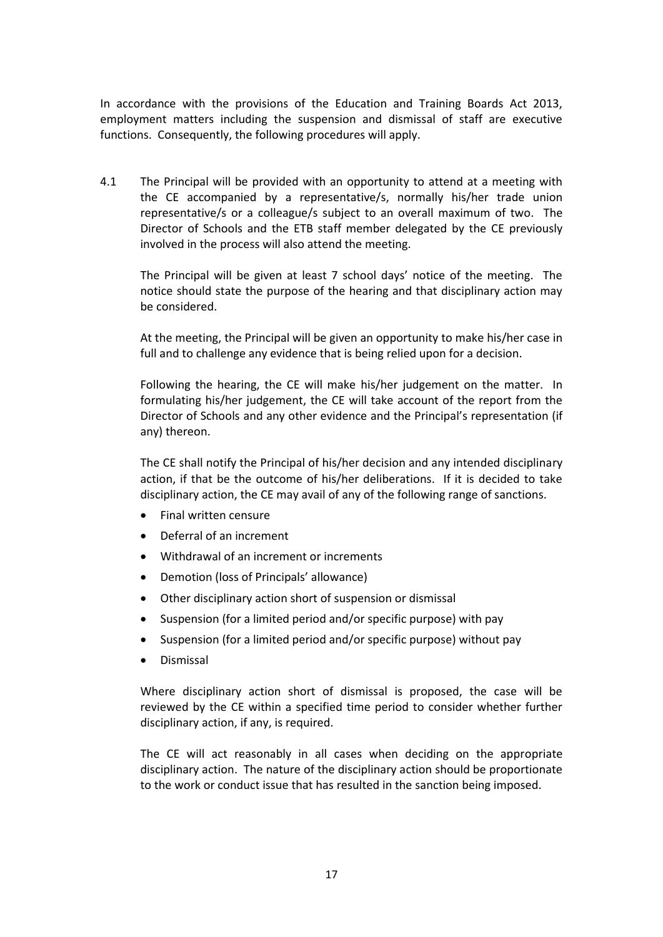In accordance with the provisions of the Education and Training Boards Act 2013, employment matters including the suspension and dismissal of staff are executive functions. Consequently, the following procedures will apply.

4.1 The Principal will be provided with an opportunity to attend at a meeting with the CE accompanied by a representative/s, normally his/her trade union representative/s or a colleague/s subject to an overall maximum of two. The Director of Schools and the ETB staff member delegated by the CE previously involved in the process will also attend the meeting.

The Principal will be given at least 7 school days' notice of the meeting. The notice should state the purpose of the hearing and that disciplinary action may be considered.

At the meeting, the Principal will be given an opportunity to make his/her case in full and to challenge any evidence that is being relied upon for a decision.

Following the hearing, the CE will make his/her judgement on the matter. In formulating his/her judgement, the CE will take account of the report from the Director of Schools and any other evidence and the Principal's representation (if any) thereon.

The CE shall notify the Principal of his/her decision and any intended disciplinary action, if that be the outcome of his/her deliberations. If it is decided to take disciplinary action, the CE may avail of any of the following range of sanctions.

- Final written censure
- Deferral of an increment
- Withdrawal of an increment or increments
- Demotion (loss of Principals' allowance)
- Other disciplinary action short of suspension or dismissal
- Suspension (for a limited period and/or specific purpose) with pay
- Suspension (for a limited period and/or specific purpose) without pay
- Dismissal

Where disciplinary action short of dismissal is proposed, the case will be reviewed by the CE within a specified time period to consider whether further disciplinary action, if any, is required.

The CE will act reasonably in all cases when deciding on the appropriate disciplinary action. The nature of the disciplinary action should be proportionate to the work or conduct issue that has resulted in the sanction being imposed.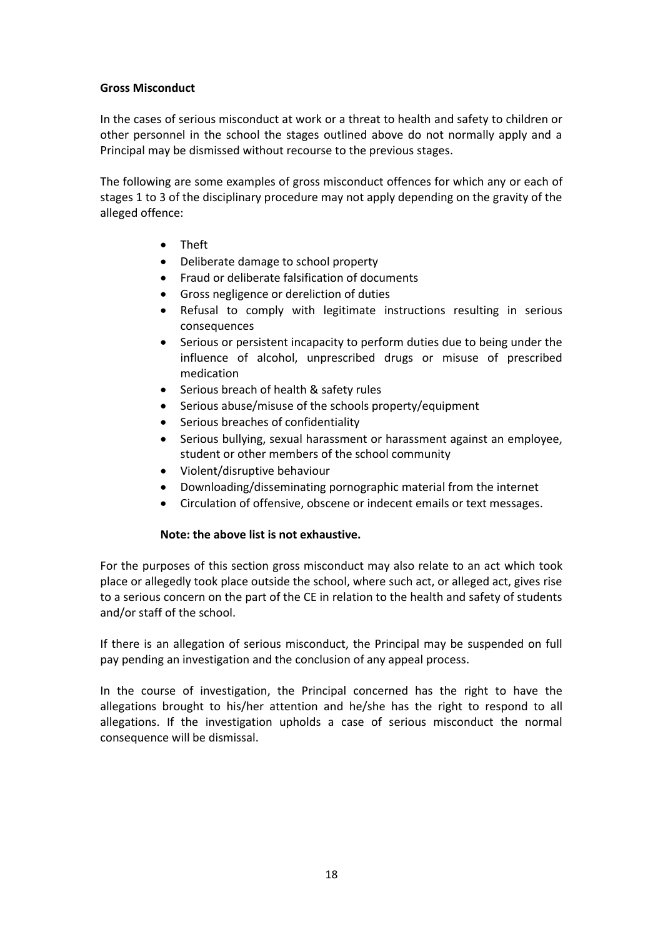#### **Gross Misconduct**

In the cases of serious misconduct at work or a threat to health and safety to children or other personnel in the school the stages outlined above do not normally apply and a Principal may be dismissed without recourse to the previous stages.

The following are some examples of gross misconduct offences for which any or each of stages 1 to 3 of the disciplinary procedure may not apply depending on the gravity of the alleged offence:

- Theft
- Deliberate damage to school property
- Fraud or deliberate falsification of documents
- Gross negligence or dereliction of duties
- Refusal to comply with legitimate instructions resulting in serious consequences
- Serious or persistent incapacity to perform duties due to being under the influence of alcohol, unprescribed drugs or misuse of prescribed medication
- Serious breach of health & safety rules
- Serious abuse/misuse of the schools property/equipment
- Serious breaches of confidentiality
- Serious bullying, sexual harassment or harassment against an employee, student or other members of the school community
- Violent/disruptive behaviour
- Downloading/disseminating pornographic material from the internet
- Circulation of offensive, obscene or indecent emails or text messages.

### **Note: the above list is not exhaustive.**

For the purposes of this section gross misconduct may also relate to an act which took place or allegedly took place outside the school, where such act, or alleged act, gives rise to a serious concern on the part of the CE in relation to the health and safety of students and/or staff of the school.

If there is an allegation of serious misconduct, the Principal may be suspended on full pay pending an investigation and the conclusion of any appeal process.

In the course of investigation, the Principal concerned has the right to have the allegations brought to his/her attention and he/she has the right to respond to all allegations. If the investigation upholds a case of serious misconduct the normal consequence will be dismissal.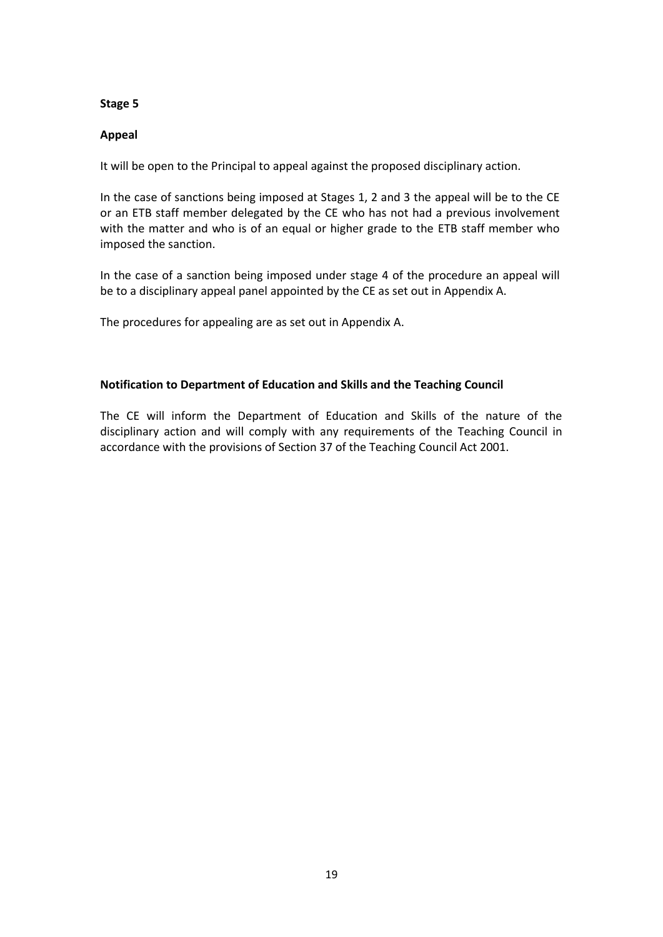#### **Stage 5**

### **Appeal**

It will be open to the Principal to appeal against the proposed disciplinary action.

In the case of sanctions being imposed at Stages 1, 2 and 3 the appeal will be to the CE or an ETB staff member delegated by the CE who has not had a previous involvement with the matter and who is of an equal or higher grade to the ETB staff member who imposed the sanction.

In the case of a sanction being imposed under stage 4 of the procedure an appeal will be to a disciplinary appeal panel appointed by the CE as set out in Appendix A.

The procedures for appealing are as set out in Appendix A.

### **Notification to Department of Education and Skills and the Teaching Council**

The CE will inform the Department of Education and Skills of the nature of the disciplinary action and will comply with any requirements of the Teaching Council in accordance with the provisions of Section 37 of the Teaching Council Act 2001.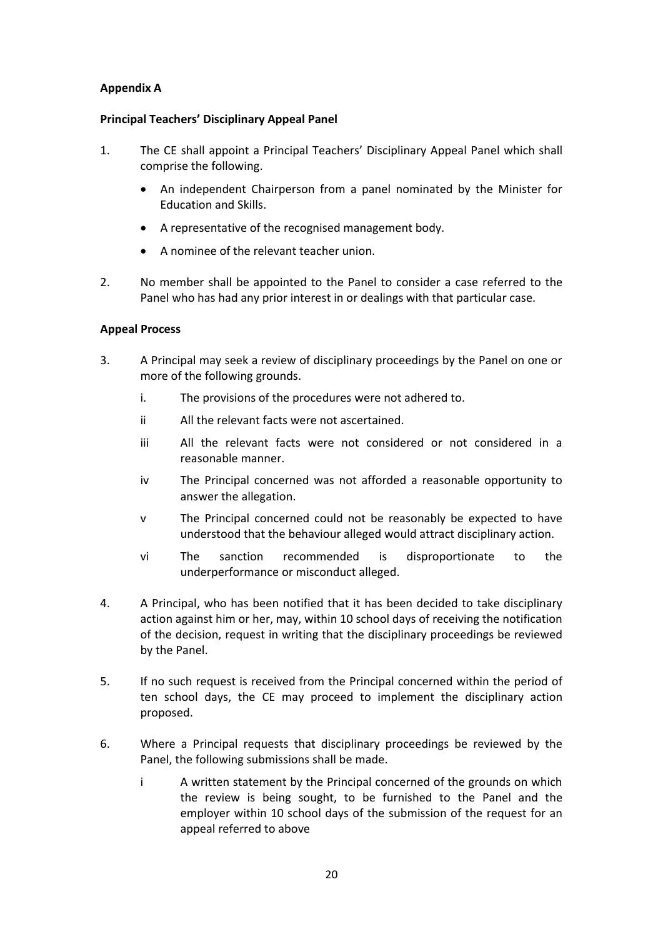# **Appendix A**

### **Principal Teachers' Disciplinary Appeal Panel**

- 1. The CE shall appoint a Principal Teachers' Disciplinary Appeal Panel which shall comprise the following.
	- An independent Chairperson from a panel nominated by the Minister for Education and Skills.
	- A representative of the recognised management body.
	- A nominee of the relevant teacher union.
- 2. No member shall be appointed to the Panel to consider a case referred to the Panel who has had any prior interest in or dealings with that particular case.

### **Appeal Process**

- 3. A Principal may seek a review of disciplinary proceedings by the Panel on one or more of the following grounds.
	- i. The provisions of the procedures were not adhered to.
	- ii All the relevant facts were not ascertained.
	- iii All the relevant facts were not considered or not considered in a reasonable manner.
	- iv The Principal concerned was not afforded a reasonable opportunity to answer the allegation.
	- v The Principal concerned could not be reasonably be expected to have understood that the behaviour alleged would attract disciplinary action.
	- vi The sanction recommended is disproportionate to the underperformance or misconduct alleged.
- 4. A Principal, who has been notified that it has been decided to take disciplinary action against him or her, may, within 10 school days of receiving the notification of the decision, request in writing that the disciplinary proceedings be reviewed by the Panel.
- 5. If no such request is received from the Principal concerned within the period of ten school days, the CE may proceed to implement the disciplinary action proposed.
- 6. Where a Principal requests that disciplinary proceedings be reviewed by the Panel, the following submissions shall be made.
	- i A written statement by the Principal concerned of the grounds on which the review is being sought, to be furnished to the Panel and the employer within 10 school days of the submission of the request for an appeal referred to above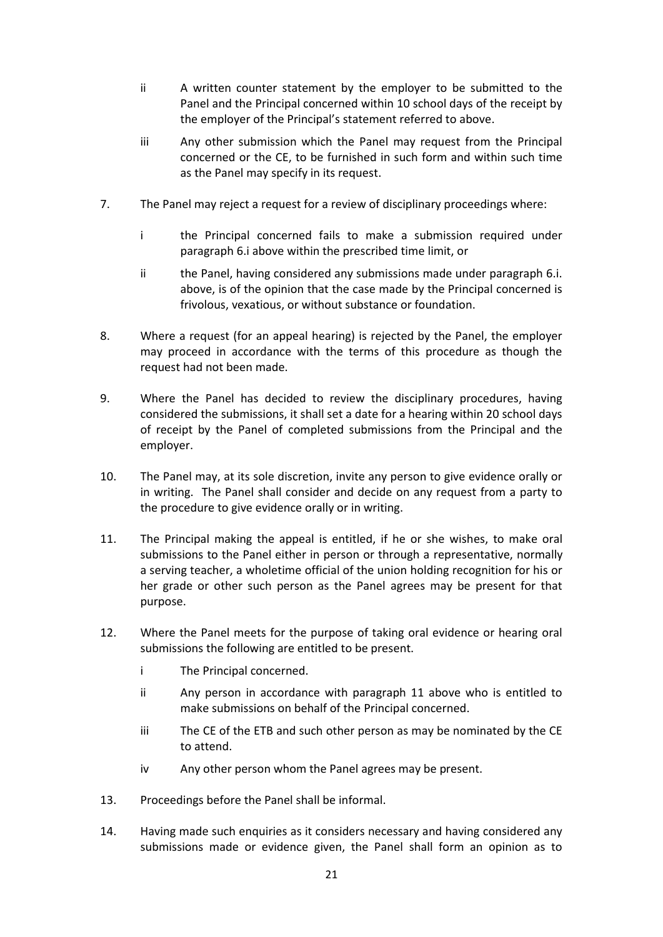- ii A written counter statement by the employer to be submitted to the Panel and the Principal concerned within 10 school days of the receipt by the employer of the Principal's statement referred to above.
- iii Any other submission which the Panel may request from the Principal concerned or the CE, to be furnished in such form and within such time as the Panel may specify in its request.
- 7. The Panel may reject a request for a review of disciplinary proceedings where:
	- i the Principal concerned fails to make a submission required under paragraph 6.i above within the prescribed time limit, or
	- ii the Panel, having considered any submissions made under paragraph 6.i. above, is of the opinion that the case made by the Principal concerned is frivolous, vexatious, or without substance or foundation.
- 8. Where a request (for an appeal hearing) is rejected by the Panel, the employer may proceed in accordance with the terms of this procedure as though the request had not been made.
- 9. Where the Panel has decided to review the disciplinary procedures, having considered the submissions, it shall set a date for a hearing within 20 school days of receipt by the Panel of completed submissions from the Principal and the employer.
- 10. The Panel may, at its sole discretion, invite any person to give evidence orally or in writing. The Panel shall consider and decide on any request from a party to the procedure to give evidence orally or in writing.
- 11. The Principal making the appeal is entitled, if he or she wishes, to make oral submissions to the Panel either in person or through a representative, normally a serving teacher, a wholetime official of the union holding recognition for his or her grade or other such person as the Panel agrees may be present for that purpose.
- 12. Where the Panel meets for the purpose of taking oral evidence or hearing oral submissions the following are entitled to be present.
	- i The Principal concerned.
	- ii Any person in accordance with paragraph 11 above who is entitled to make submissions on behalf of the Principal concerned.
	- iii The CE of the ETB and such other person as may be nominated by the CE to attend.
	- iv Any other person whom the Panel agrees may be present.
- 13. Proceedings before the Panel shall be informal.
- 14. Having made such enquiries as it considers necessary and having considered any submissions made or evidence given, the Panel shall form an opinion as to